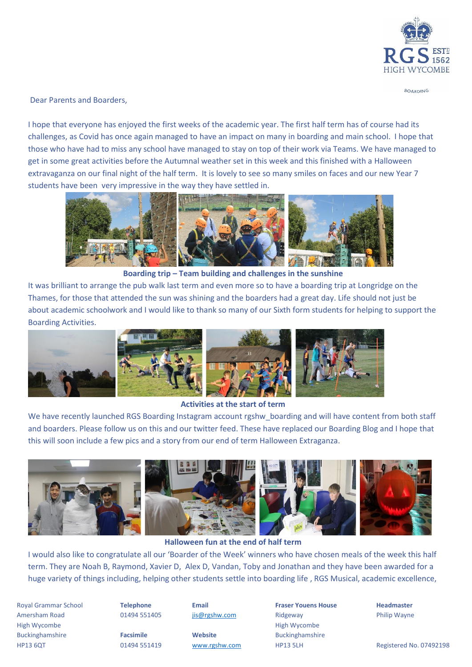

**BOARDING** 

Dear Parents and Boarders,

I hope that everyone has enjoyed the first weeks of the academic year. The first half term has of course had its challenges, as Covid has once again managed to have an impact on many in boarding and main school. I hope that those who have had to miss any school have managed to stay on top of their work via Teams. We have managed to get in some great activities before the Autumnal weather set in this week and this finished with a Halloween extravaganza on our final night of the half term. It is lovely to see so many smiles on faces and our new Year 7 students have been very impressive in the way they have settled in.



**Boarding trip – Team building and challenges in the sunshine**

It was brilliant to arrange the pub walk last term and even more so to have a boarding trip at Longridge on the Thames, for those that attended the sun was shining and the boarders had a great day. Life should not just be about academic schoolwork and I would like to thank so many of our Sixth form students for helping to support the Boarding Activities.



## **Activities at the start of term**

We have recently launched RGS Boarding Instagram account rgshw\_boarding and will have content from both staff and boarders. Please follow us on this and our twitter feed. These have replaced our Boarding Blog and I hope that this will soon include a few pics and a story from our end of term Halloween Extraganza.



## **Halloween fun at the end of half term**

I would also like to congratulate all our 'Boarder of the Week' winners who have chosen meals of the week this half term. They are Noah B, Raymond, Xavier D, Alex D, Vandan, Toby and Jonathan and they have been awarded for a huge variety of things including, helping other students settle into boarding life , RGS Musical, academic excellence,

Royal Grammar School **Telephone Email Fraser Youens House Headmaster** Amersham Road **1988** 01494 551405 **[jis@rgshw.com](mailto:jis@rgshw.com)** Ridgeway Philip Wayne High Wycombe High Wycombe Buckinghamshire **Facsimile Website** Buckinghamshire